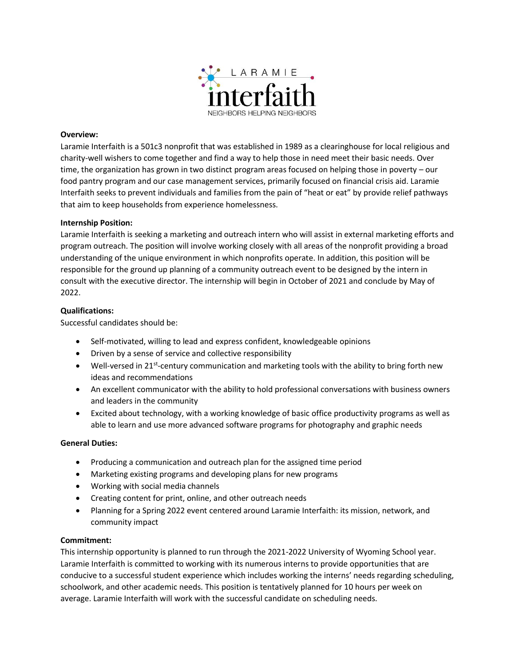

### **Overview:**

Laramie Interfaith is a 501c3 nonprofit that was established in 1989 as a clearinghouse for local religious and charity-well wishers to come together and find a way to help those in need meet their basic needs. Over time, the organization has grown in two distinct program areas focused on helping those in poverty – our food pantry program and our case management services, primarily focused on financial crisis aid. Laramie Interfaith seeks to prevent individuals and families from the pain of "heat or eat" by provide relief pathways that aim to keep households from experience homelessness.

#### **Internship Position:**

Laramie Interfaith is seeking a marketing and outreach intern who will assist in external marketing efforts and program outreach. The position will involve working closely with all areas of the nonprofit providing a broad understanding of the unique environment in which nonprofits operate. In addition, this position will be responsible for the ground up planning of a community outreach event to be designed by the intern in consult with the executive director. The internship will begin in October of 2021 and conclude by May of 2022.

### **Qualifications:**

Successful candidates should be:

- Self-motivated, willing to lead and express confident, knowledgeable opinions
- Driven by a sense of service and collective responsibility
- Well-versed in 21<sup>st</sup>-century communication and marketing tools with the ability to bring forth new ideas and recommendations
- An excellent communicator with the ability to hold professional conversations with business owners and leaders in the community
- Excited about technology, with a working knowledge of basic office productivity programs as well as able to learn and use more advanced software programs for photography and graphic needs

#### **General Duties:**

- Producing a communication and outreach plan for the assigned time period
- Marketing existing programs and developing plans for new programs
- Working with social media channels
- Creating content for print, online, and other outreach needs
- Planning for a Spring 2022 event centered around Laramie Interfaith: its mission, network, and community impact

#### **Commitment:**

This internship opportunity is planned to run through the 2021-2022 University of Wyoming School year. Laramie Interfaith is committed to working with its numerous interns to provide opportunities that are conducive to a successful student experience which includes working the interns' needs regarding scheduling, schoolwork, and other academic needs. This position is tentatively planned for 10 hours per week on average. Laramie Interfaith will work with the successful candidate on scheduling needs.